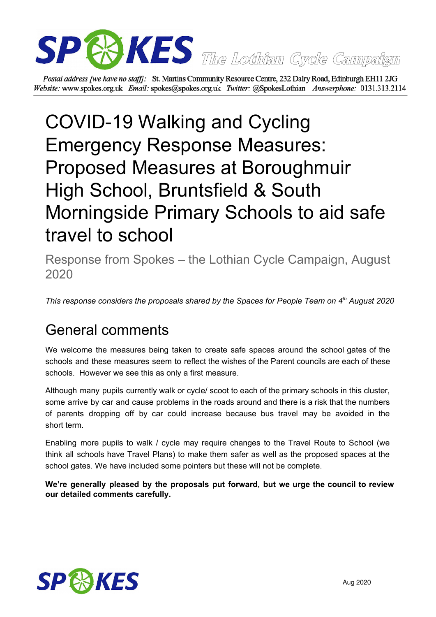

Postal address [we have no staff]: St. Martins Community Resource Centre, 232 Dalry Road, Edinburgh EH11 2JG Website: www.spokes.org.uk Email: spokes@spokes.org.uk Twitter: @SpokesLothian Answerphone: 0131.313.2114

# COVID-19 Walking and Cycling Emergency Response Measures: Proposed Measures at Boroughmuir High School, Bruntsfield & South Morningside Primary Schools to aid safe travel to school

Response from Spokes – the Lothian Cycle Campaign, August 2020

*This response considers the proposals shared by the Spaces for People Team on 4 th August 2020*

# General comments

We welcome the measures being taken to create safe spaces around the school gates of the schools and these measures seem to reflect the wishes of the Parent councils are each of these schools. However we see this as only a first measure.

Although many pupils currently walk or cycle/ scoot to each of the primary schools in this cluster, some arrive by car and cause problems in the roads around and there is a risk that the numbers of parents dropping off by car could increase because bus travel may be avoided in the short term.

Enabling more pupils to walk / cycle may require changes to the Travel Route to School (we think all schools have Travel Plans) to make them safer as well as the proposed spaces at the school gates. We have included some pointers but these will not be complete.

**We're generally pleased by the proposals put forward, but we urge the council to review our detailed comments carefully.**

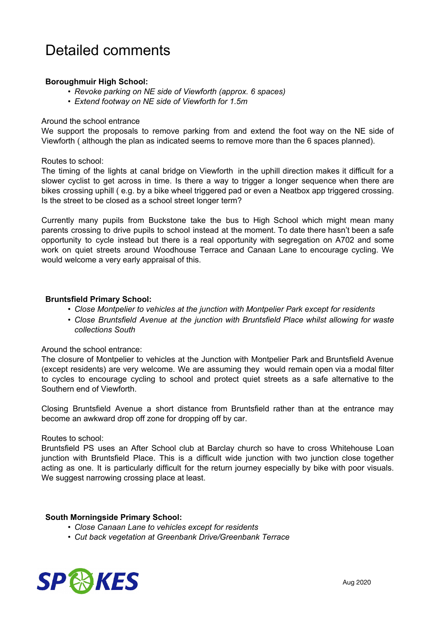## Detailed comments

#### **Boroughmuir High School:**

- *• Revoke parking on NE side of Viewforth (approx. 6 spaces)*
- *• Extend footway on NE side of Viewforth for 1.5m*

#### Around the school entrance

We support the proposals to remove parking from and extend the foot way on the NE side of Viewforth ( although the plan as indicated seems to remove more than the 6 spaces planned).

#### Routes to school:

The timing of the lights at canal bridge on Viewforth in the uphill direction makes it difficult for a slower cyclist to get across in time. Is there a way to trigger a longer sequence when there are bikes crossing uphill ( e.g. by a bike wheel triggered pad or even a Neatbox app triggered crossing. Is the street to be closed as a school street longer term?

Currently many pupils from Buckstone take the bus to High School which might mean many parents crossing to drive pupils to school instead at the moment. To date there hasn't been a safe opportunity to cycle instead but there is a real opportunity with segregation on A702 and some work on quiet streets around Woodhouse Terrace and Canaan Lane to encourage cycling. We would welcome a very early appraisal of this.

#### **Bruntsfield Primary School:**

- *• Close Montpelier to vehicles at the junction with Montpelier Park except for residents*
- *• Close Bruntsfield Avenue at the junction with Bruntsfield Place whilst allowing for waste collections South*

#### Around the school entrance:

The closure of Montpelier to vehicles at the Junction with Montpelier Park and Bruntsfield Avenue (except residents) are very welcome. We are assuming they would remain open via a modal filter to cycles to encourage cycling to school and protect quiet streets as a safe alternative to the Southern end of Viewforth.

Closing Bruntsfield Avenue a short distance from Bruntsfield rather than at the entrance may become an awkward drop off zone for dropping off by car.

#### Routes to school:

Bruntsfield PS uses an After School club at Barclay church so have to cross Whitehouse Loan junction with Bruntsfield Place. This is a difficult wide junction with two junction close together acting as one. It is particularly difficult for the return journey especially by bike with poor visuals. We suggest narrowing crossing place at least.

#### **South Morningside Primary School:**

- *• Close Canaan Lane to vehicles except for residents*
- *• Cut back vegetation at Greenbank Drive/Greenbank Terrace*